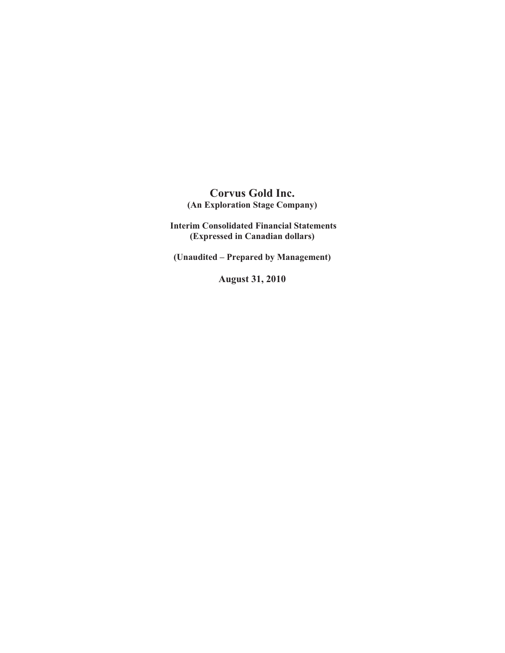# **Corvus Gold Inc. (An Exploration Stage Company)**

 **Interim Consolidated Financial Statements (Expressed in Canadian dollars)** 

**(Unaudited – Prepared by Management)** 

**August 31, 2010**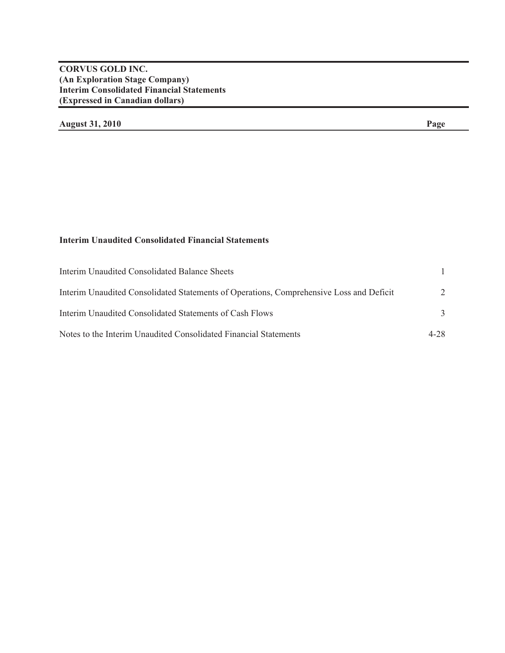# **CORVUS GOLD INC. (An Exploration Stage Company) Interim Consolidated Financial Statements (Expressed in Canadian dollars)**

# **August 31, 2010 Page**

# **Interim Unaudited Consolidated Financial Statements**

| Interim Unaudited Consolidated Balance Sheets                                           |          |
|-----------------------------------------------------------------------------------------|----------|
| Interim Unaudited Consolidated Statements of Operations, Comprehensive Loss and Deficit | 2        |
| Interim Unaudited Consolidated Statements of Cash Flows                                 |          |
| Notes to the Interim Unaudited Consolidated Financial Statements                        | $4 - 28$ |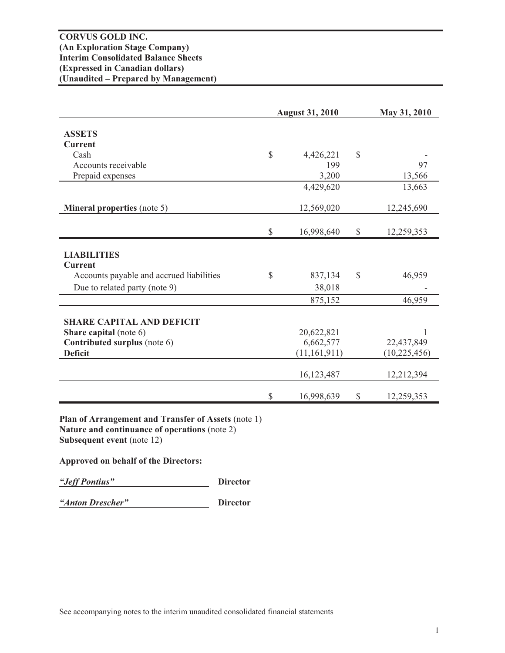|                                          |               | <b>August 31, 2010</b> |              | May 31, 2010   |
|------------------------------------------|---------------|------------------------|--------------|----------------|
| <b>ASSETS</b>                            |               |                        |              |                |
| <b>Current</b>                           |               |                        |              |                |
| Cash                                     | $\mathbb{S}$  | 4,426,221              | $\mathbb{S}$ |                |
| Accounts receivable                      |               | 199                    |              | 97             |
| Prepaid expenses                         |               | 3,200                  |              | 13,566         |
|                                          |               | 4,429,620              |              | 13,663         |
| <b>Mineral properties (note 5)</b>       |               | 12,569,020             |              | 12,245,690     |
|                                          | $\mathcal{S}$ | 16,998,640             | \$           | 12,259,353     |
|                                          |               |                        |              |                |
| <b>LIABILITIES</b>                       |               |                        |              |                |
| <b>Current</b>                           |               |                        |              |                |
| Accounts payable and accrued liabilities | $\mathbb{S}$  | 837,134                | $\mathbb{S}$ | 46,959         |
| Due to related party (note 9)            |               | 38,018                 |              |                |
|                                          |               | 875,152                |              | 46,959         |
| <b>SHARE CAPITAL AND DEFICIT</b>         |               |                        |              |                |
| Share capital (note 6)                   |               | 20,622,821             |              | 1              |
| Contributed surplus (note 6)             |               | 6,662,577              |              | 22,437,849     |
| <b>Deficit</b>                           |               | (11, 161, 911)         |              | (10, 225, 456) |
|                                          |               | 16,123,487             |              | 12,212,394     |
|                                          | $\mathbb{S}$  | 16,998,639             | \$           | 12,259,353     |
|                                          |               |                        |              |                |

**Plan of Arrangement and Transfer of Assets** (note 1) **Nature and continuance of operations** (note 2) **Subsequent event** (note 12)

**Approved on behalf of the Directors:** 

*"Jeff Pontius"* **Director**

*"Anton Drescher"* **Director**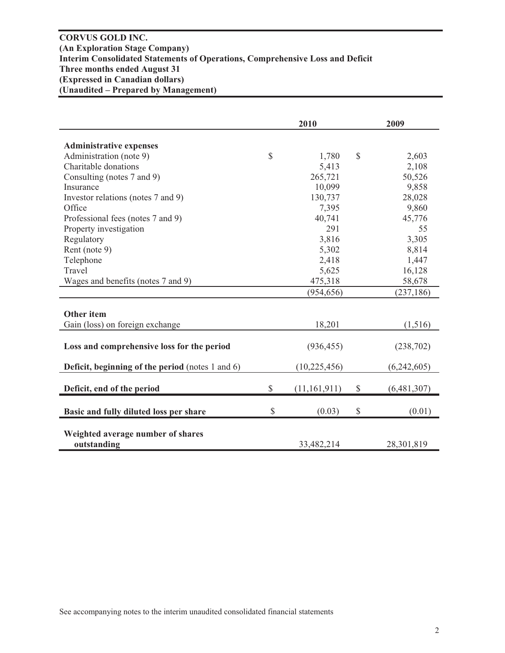# **CORVUS GOLD INC. (An Exploration Stage Company) Interim Consolidated Statements of Operations, Comprehensive Loss and Deficit Three months ended August 31 (Expressed in Canadian dollars) (Unaudited – Prepared by Management)**

|                                                         | 2010                 |              | 2009        |
|---------------------------------------------------------|----------------------|--------------|-------------|
|                                                         |                      |              |             |
| <b>Administrative expenses</b>                          |                      |              |             |
| Administration (note 9)                                 | \$<br>1,780          | $\mathbb{S}$ | 2,603       |
| Charitable donations                                    | 5,413                |              | 2,108       |
| Consulting (notes 7 and 9)                              | 265,721              |              | 50,526      |
| Insurance                                               | 10,099               |              | 9,858       |
| Investor relations (notes 7 and 9)                      | 130,737              |              | 28,028      |
| Office                                                  | 7,395                |              | 9,860       |
| Professional fees (notes 7 and 9)                       | 40,741               |              | 45,776      |
| Property investigation                                  | 291                  |              | 55          |
| Regulatory                                              | 3,816                |              | 3,305       |
| Rent (note 9)                                           | 5,302                |              | 8,814       |
| Telephone                                               | 2,418                |              | 1,447       |
| Travel                                                  | 5,625                |              | 16,128      |
| Wages and benefits (notes 7 and 9)                      | 475,318              |              | 58,678      |
|                                                         | (954, 656)           |              | (237, 186)  |
|                                                         |                      |              |             |
| <b>Other item</b>                                       |                      |              |             |
| Gain (loss) on foreign exchange                         | 18,201               |              | (1,516)     |
|                                                         |                      |              |             |
| Loss and comprehensive loss for the period              | (936, 455)           |              | (238,702)   |
|                                                         |                      |              |             |
| <b>Deficit, beginning of the period</b> (notes 1 and 6) | (10, 225, 456)       |              | (6,242,605) |
|                                                         |                      |              |             |
| Deficit, end of the period                              | \$<br>(11, 161, 911) | \$           | (6,481,307) |
|                                                         | \$<br>(0.03)         | $\mathbb{S}$ | (0.01)      |
| Basic and fully diluted loss per share                  |                      |              |             |
| Weighted average number of shares                       |                      |              |             |
| outstanding                                             | 33,482,214           |              | 28,301,819  |
|                                                         |                      |              |             |

See accompanying notes to the interim unaudited consolidated financial statements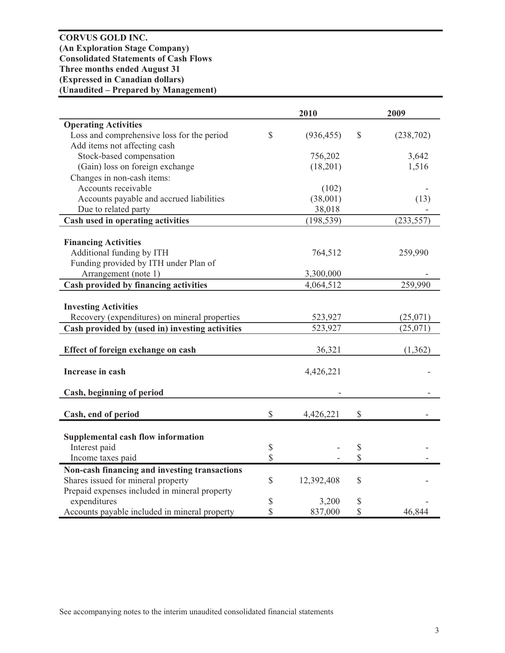**CORVUS GOLD INC. (An Exploration Stage Company) Consolidated Statements of Cash Flows Three months ended August 31 (Expressed in Canadian dollars) (Unaudited – Prepared by Management)** 

|                                                 |              | 2010       |              | 2009       |
|-------------------------------------------------|--------------|------------|--------------|------------|
| <b>Operating Activities</b>                     |              |            |              |            |
| Loss and comprehensive loss for the period      | $\mathbb{S}$ | (936, 455) | $\mathbb{S}$ | (238,702)  |
| Add items not affecting cash                    |              |            |              |            |
| Stock-based compensation                        |              | 756,202    |              | 3,642      |
| (Gain) loss on foreign exchange                 |              | (18,201)   |              | 1,516      |
| Changes in non-cash items:                      |              |            |              |            |
| Accounts receivable                             |              | (102)      |              |            |
| Accounts payable and accrued liabilities        |              | (38,001)   |              | (13)       |
| Due to related party                            |              | 38,018     |              |            |
| Cash used in operating activities               |              | (198, 539) |              | (233, 557) |
|                                                 |              |            |              |            |
| <b>Financing Activities</b>                     |              |            |              |            |
| Additional funding by ITH                       |              | 764,512    |              | 259,990    |
| Funding provided by ITH under Plan of           |              |            |              |            |
| Arrangement (note 1)                            |              | 3,300,000  |              |            |
| Cash provided by financing activities           |              | 4,064,512  |              | 259,990    |
|                                                 |              |            |              |            |
| <b>Investing Activities</b>                     |              |            |              |            |
| Recovery (expenditures) on mineral properties   |              | 523,927    |              | (25,071)   |
| Cash provided by (used in) investing activities |              | 523,927    |              | (25,071)   |
| Effect of foreign exchange on cash              |              | 36,321     |              | (1, 362)   |
| Increase in cash                                |              | 4,426,221  |              |            |
| Cash, beginning of period                       |              |            |              |            |
|                                                 | \$           |            | \$           |            |
| Cash, end of period                             |              | 4,426,221  |              |            |
| <b>Supplemental cash flow information</b>       |              |            |              |            |
| Interest paid                                   | \$           |            | $\mathbb{S}$ |            |
| Income taxes paid                               | \$           |            | \$           |            |
| Non-cash financing and investing transactions   |              |            |              |            |
| Shares issued for mineral property              | \$           | 12,392,408 | \$           |            |
| Prepaid expenses included in mineral property   |              |            |              |            |
| expenditures                                    | \$           | 3,200      | \$           |            |
| Accounts payable included in mineral property   | \$           | 837,000    | \$           | 46,844     |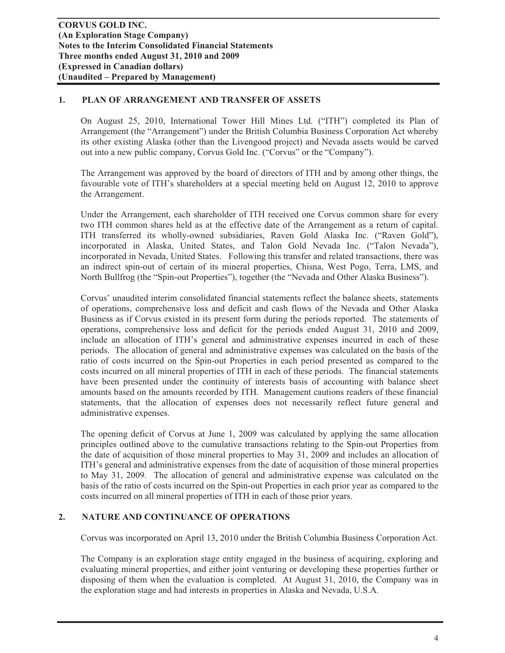# **1. PLAN OF ARRANGEMENT AND TRANSFER OF ASSETS**

On August 25, 2010, International Tower Hill Mines Ltd. ("ITH") completed its Plan of Arrangement (the "Arrangement") under the British Columbia Business Corporation Act whereby its other existing Alaska (other than the Livengood project) and Nevada assets would be carved out into a new public company, Corvus Gold Inc. ("Corvus" or the "Company").

The Arrangement was approved by the board of directors of ITH and by among other things, the favourable vote of ITH's shareholders at a special meeting held on August 12, 2010 to approve the Arrangement.

Under the Arrangement, each shareholder of ITH received one Corvus common share for every two ITH common shares held as at the effective date of the Arrangement as a return of capital. ITH transferred its wholly-owned subsidiaries, Raven Gold Alaska Inc. ("Raven Gold"), incorporated in Alaska, United States, and Talon Gold Nevada Inc. ("Talon Nevada"), incorporated in Nevada, United States. Following this transfer and related transactions, there was an indirect spin-out of certain of its mineral properties, Chisna, West Pogo, Terra, LMS, and North Bullfrog (the "Spin-out Properties"), together (the "Nevada and Other Alaska Business").

Corvus' unaudited interim consolidated financial statements reflect the balance sheets, statements of operations, comprehensive loss and deficit and cash flows of the Nevada and Other Alaska Business as if Corvus existed in its present form during the periods reported. The statements of operations, comprehensive loss and deficit for the periods ended August 31, 2010 and 2009, include an allocation of ITH's general and administrative expenses incurred in each of these periods. The allocation of general and administrative expenses was calculated on the basis of the ratio of costs incurred on the Spin-out Properties in each period presented as compared to the costs incurred on all mineral properties of ITH in each of these periods. The financial statements have been presented under the continuity of interests basis of accounting with balance sheet amounts based on the amounts recorded by ITH. Management cautions readers of these financial statements, that the allocation of expenses does not necessarily reflect future general and administrative expenses.

The opening deficit of Corvus at June 1, 2009 was calculated by applying the same allocation principles outlined above to the cumulative transactions relating to the Spin-out Properties from the date of acquisition of those mineral properties to May 31, 2009 and includes an allocation of ITH's general and administrative expenses from the date of acquisition of those mineral properties to May 31, 2009. The allocation of general and administrative expense was calculated on the basis of the ratio of costs incurred on the Spin-out Properties in each prior year as compared to the costs incurred on all mineral properties of ITH in each of those prior years.

# **2. NATURE AND CONTINUANCE OF OPERATIONS**

Corvus was incorporated on April 13, 2010 under the British Columbia Business Corporation Act.

The Company is an exploration stage entity engaged in the business of acquiring, exploring and evaluating mineral properties, and either joint venturing or developing these properties further or disposing of them when the evaluation is completed. At August 31, 2010, the Company was in the exploration stage and had interests in properties in Alaska and Nevada, U.S.A.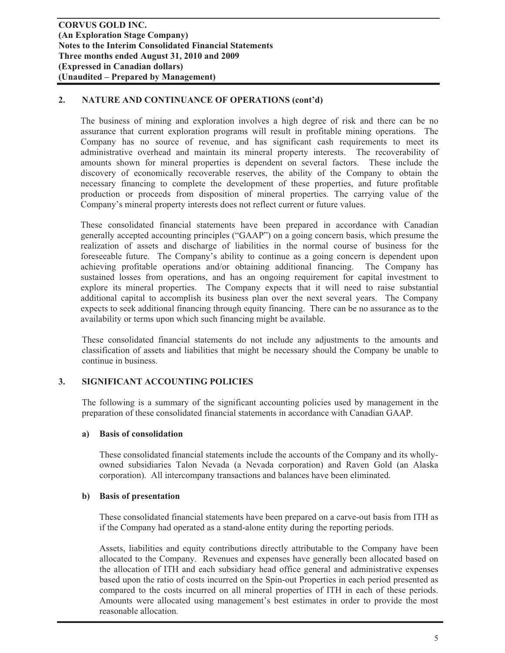# **2. NATURE AND CONTINUANCE OF OPERATIONS (cont'd)**

The business of mining and exploration involves a high degree of risk and there can be no assurance that current exploration programs will result in profitable mining operations. The Company has no source of revenue, and has significant cash requirements to meet its administrative overhead and maintain its mineral property interests. The recoverability of amounts shown for mineral properties is dependent on several factors. These include the discovery of economically recoverable reserves, the ability of the Company to obtain the necessary financing to complete the development of these properties, and future profitable production or proceeds from disposition of mineral properties. The carrying value of the Company's mineral property interests does not reflect current or future values.

These consolidated financial statements have been prepared in accordance with Canadian generally accepted accounting principles ("GAAP") on a going concern basis, which presume the realization of assets and discharge of liabilities in the normal course of business for the foreseeable future. The Company's ability to continue as a going concern is dependent upon achieving profitable operations and/or obtaining additional financing. The Company has sustained losses from operations, and has an ongoing requirement for capital investment to explore its mineral properties. The Company expects that it will need to raise substantial additional capital to accomplish its business plan over the next several years. The Company expects to seek additional financing through equity financing. There can be no assurance as to the availability or terms upon which such financing might be available.

These consolidated financial statements do not include any adjustments to the amounts and classification of assets and liabilities that might be necessary should the Company be unable to continue in business.

# **3. SIGNIFICANT ACCOUNTING POLICIES**

The following is a summary of the significant accounting policies used by management in the preparation of these consolidated financial statements in accordance with Canadian GAAP.

#### **a) Basis of consolidation**

These consolidated financial statements include the accounts of the Company and its whollyowned subsidiaries Talon Nevada (a Nevada corporation) and Raven Gold (an Alaska corporation). All intercompany transactions and balances have been eliminated.

#### **b) Basis of presentation**

These consolidated financial statements have been prepared on a carve-out basis from ITH as if the Company had operated as a stand-alone entity during the reporting periods.

Assets, liabilities and equity contributions directly attributable to the Company have been allocated to the Company. Revenues and expenses have generally been allocated based on the allocation of ITH and each subsidiary head office general and administrative expenses based upon the ratio of costs incurred on the Spin-out Properties in each period presented as compared to the costs incurred on all mineral properties of ITH in each of these periods. Amounts were allocated using management's best estimates in order to provide the most reasonable allocation.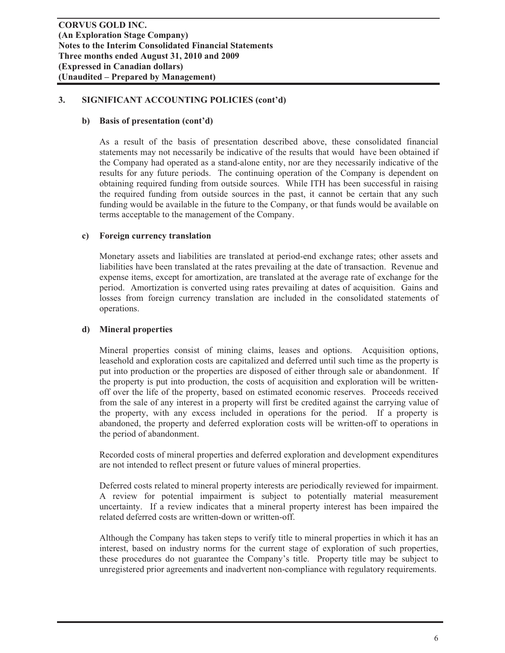#### **b) Basis of presentation (cont'd)**

As a result of the basis of presentation described above, these consolidated financial statements may not necessarily be indicative of the results that would have been obtained if the Company had operated as a stand-alone entity, nor are they necessarily indicative of the results for any future periods. The continuing operation of the Company is dependent on obtaining required funding from outside sources. While ITH has been successful in raising the required funding from outside sources in the past, it cannot be certain that any such funding would be available in the future to the Company, or that funds would be available on terms acceptable to the management of the Company.

#### **c) Foreign currency translation**

Monetary assets and liabilities are translated at period-end exchange rates; other assets and liabilities have been translated at the rates prevailing at the date of transaction. Revenue and expense items, except for amortization, are translated at the average rate of exchange for the period. Amortization is converted using rates prevailing at dates of acquisition. Gains and losses from foreign currency translation are included in the consolidated statements of operations.

#### **d) Mineral properties**

Mineral properties consist of mining claims, leases and options. Acquisition options, leasehold and exploration costs are capitalized and deferred until such time as the property is put into production or the properties are disposed of either through sale or abandonment. If the property is put into production, the costs of acquisition and exploration will be writtenoff over the life of the property, based on estimated economic reserves. Proceeds received from the sale of any interest in a property will first be credited against the carrying value of the property, with any excess included in operations for the period. If a property is abandoned, the property and deferred exploration costs will be written-off to operations in the period of abandonment.

Recorded costs of mineral properties and deferred exploration and development expenditures are not intended to reflect present or future values of mineral properties.

Deferred costs related to mineral property interests are periodically reviewed for impairment. A review for potential impairment is subject to potentially material measurement uncertainty. If a review indicates that a mineral property interest has been impaired the related deferred costs are written-down or written-off.

Although the Company has taken steps to verify title to mineral properties in which it has an interest, based on industry norms for the current stage of exploration of such properties, these procedures do not guarantee the Company's title. Property title may be subject to unregistered prior agreements and inadvertent non-compliance with regulatory requirements.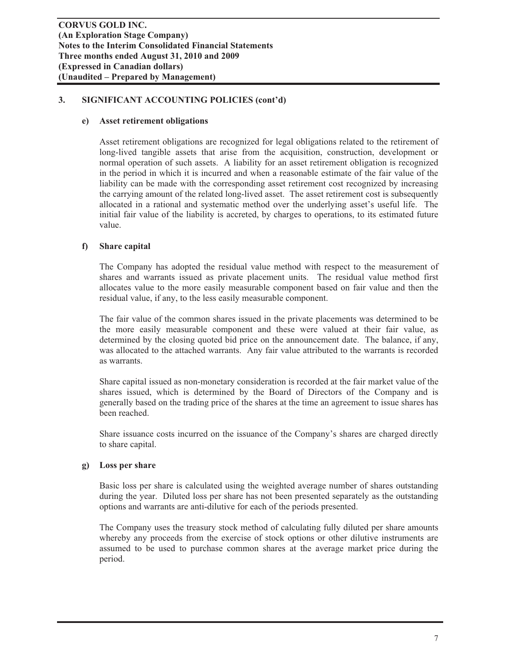#### **e) Asset retirement obligations**

Asset retirement obligations are recognized for legal obligations related to the retirement of long-lived tangible assets that arise from the acquisition, construction, development or normal operation of such assets. A liability for an asset retirement obligation is recognized in the period in which it is incurred and when a reasonable estimate of the fair value of the liability can be made with the corresponding asset retirement cost recognized by increasing the carrying amount of the related long-lived asset. The asset retirement cost is subsequently allocated in a rational and systematic method over the underlying asset's useful life. The initial fair value of the liability is accreted, by charges to operations, to its estimated future value.

#### **f) Share capital**

The Company has adopted the residual value method with respect to the measurement of shares and warrants issued as private placement units. The residual value method first allocates value to the more easily measurable component based on fair value and then the residual value, if any, to the less easily measurable component.

The fair value of the common shares issued in the private placements was determined to be the more easily measurable component and these were valued at their fair value, as determined by the closing quoted bid price on the announcement date. The balance, if any, was allocated to the attached warrants. Any fair value attributed to the warrants is recorded as warrants.

Share capital issued as non-monetary consideration is recorded at the fair market value of the shares issued, which is determined by the Board of Directors of the Company and is generally based on the trading price of the shares at the time an agreement to issue shares has been reached.

Share issuance costs incurred on the issuance of the Company's shares are charged directly to share capital.

#### **g) Loss per share**

Basic loss per share is calculated using the weighted average number of shares outstanding during the year. Diluted loss per share has not been presented separately as the outstanding options and warrants are anti-dilutive for each of the periods presented.

The Company uses the treasury stock method of calculating fully diluted per share amounts whereby any proceeds from the exercise of stock options or other dilutive instruments are assumed to be used to purchase common shares at the average market price during the period.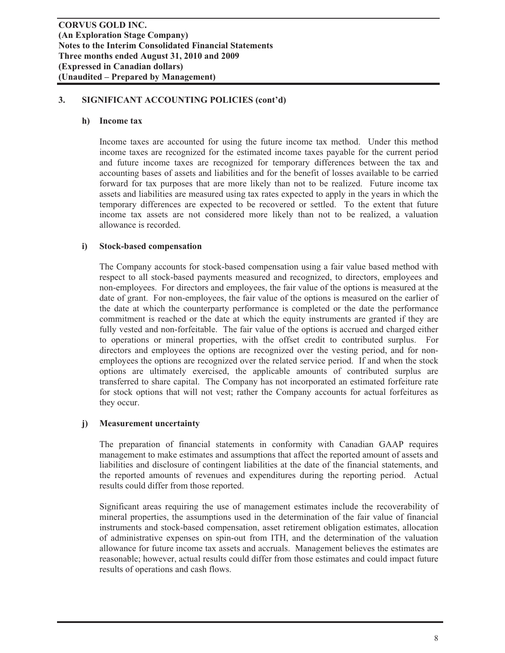#### **h) Income tax**

Income taxes are accounted for using the future income tax method. Under this method income taxes are recognized for the estimated income taxes payable for the current period and future income taxes are recognized for temporary differences between the tax and accounting bases of assets and liabilities and for the benefit of losses available to be carried forward for tax purposes that are more likely than not to be realized. Future income tax assets and liabilities are measured using tax rates expected to apply in the years in which the temporary differences are expected to be recovered or settled. To the extent that future income tax assets are not considered more likely than not to be realized, a valuation allowance is recorded.

#### **i) Stock-based compensation**

The Company accounts for stock-based compensation using a fair value based method with respect to all stock-based payments measured and recognized, to directors, employees and non-employees. For directors and employees, the fair value of the options is measured at the date of grant. For non-employees, the fair value of the options is measured on the earlier of the date at which the counterparty performance is completed or the date the performance commitment is reached or the date at which the equity instruments are granted if they are fully vested and non-forfeitable. The fair value of the options is accrued and charged either to operations or mineral properties, with the offset credit to contributed surplus. For directors and employees the options are recognized over the vesting period, and for nonemployees the options are recognized over the related service period. If and when the stock options are ultimately exercised, the applicable amounts of contributed surplus are transferred to share capital. The Company has not incorporated an estimated forfeiture rate for stock options that will not vest; rather the Company accounts for actual forfeitures as they occur.

#### **j) Measurement uncertainty**

The preparation of financial statements in conformity with Canadian GAAP requires management to make estimates and assumptions that affect the reported amount of assets and liabilities and disclosure of contingent liabilities at the date of the financial statements, and the reported amounts of revenues and expenditures during the reporting period. Actual results could differ from those reported.

Significant areas requiring the use of management estimates include the recoverability of mineral properties, the assumptions used in the determination of the fair value of financial instruments and stock-based compensation, asset retirement obligation estimates, allocation of administrative expenses on spin-out from ITH, and the determination of the valuation allowance for future income tax assets and accruals. Management believes the estimates are reasonable; however, actual results could differ from those estimates and could impact future results of operations and cash flows.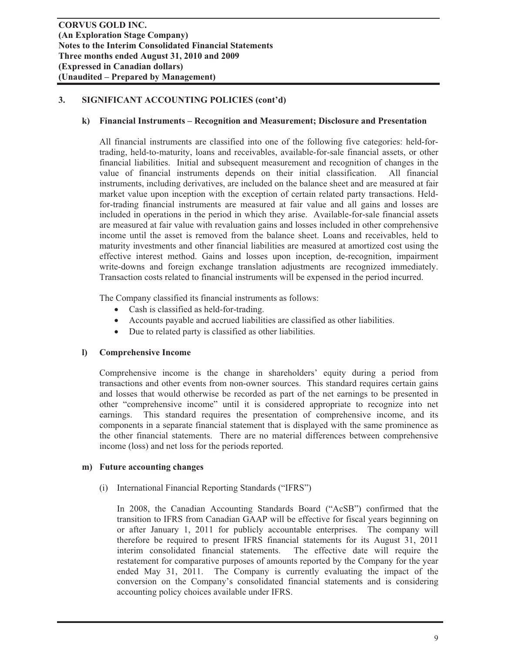#### **k) Financial Instruments – Recognition and Measurement; Disclosure and Presentation**

All financial instruments are classified into one of the following five categories: held-fortrading, held-to-maturity, loans and receivables, available-for-sale financial assets, or other financial liabilities. Initial and subsequent measurement and recognition of changes in the value of financial instruments depends on their initial classification. All financial instruments, including derivatives, are included on the balance sheet and are measured at fair market value upon inception with the exception of certain related party transactions. Heldfor-trading financial instruments are measured at fair value and all gains and losses are included in operations in the period in which they arise. Available-for-sale financial assets are measured at fair value with revaluation gains and losses included in other comprehensive income until the asset is removed from the balance sheet. Loans and receivables, held to maturity investments and other financial liabilities are measured at amortized cost using the effective interest method. Gains and losses upon inception, de-recognition, impairment write-downs and foreign exchange translation adjustments are recognized immediately. Transaction costs related to financial instruments will be expensed in the period incurred.

The Company classified its financial instruments as follows:

- Cash is classified as held-for-trading.
- Accounts payable and accrued liabilities are classified as other liabilities.
- Due to related party is classified as other liabilities.

#### **l) Comprehensive Income**

Comprehensive income is the change in shareholders' equity during a period from transactions and other events from non-owner sources. This standard requires certain gains and losses that would otherwise be recorded as part of the net earnings to be presented in other "comprehensive income" until it is considered appropriate to recognize into net earnings. This standard requires the presentation of comprehensive income, and its components in a separate financial statement that is displayed with the same prominence as the other financial statements. There are no material differences between comprehensive income (loss) and net loss for the periods reported.

#### **m) Future accounting changes**

(i) International Financial Reporting Standards ("IFRS")

In 2008, the Canadian Accounting Standards Board ("AcSB") confirmed that the transition to IFRS from Canadian GAAP will be effective for fiscal years beginning on or after January 1, 2011 for publicly accountable enterprises. The company will therefore be required to present IFRS financial statements for its August 31, 2011 interim consolidated financial statements. The effective date will require the restatement for comparative purposes of amounts reported by the Company for the year ended May 31, 2011. The Company is currently evaluating the impact of the conversion on the Company's consolidated financial statements and is considering accounting policy choices available under IFRS.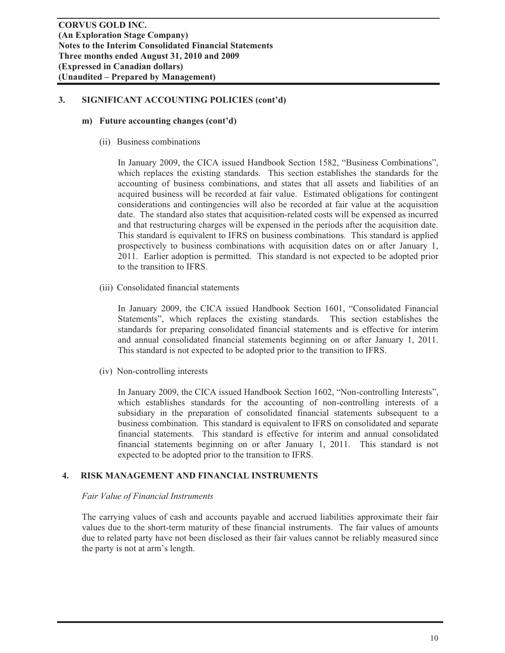#### **m) Future accounting changes (cont'd)**

(ii) Business combinations

In January 2009, the CICA issued Handbook Section 1582, "Business Combinations", which replaces the existing standards. This section establishes the standards for the accounting of business combinations, and states that all assets and liabilities of an acquired business will be recorded at fair value. Estimated obligations for contingent considerations and contingencies will also be recorded at fair value at the acquisition date. The standard also states that acquisition-related costs will be expensed as incurred and that restructuring charges will be expensed in the periods after the acquisition date. This standard is equivalent to IFRS on business combinations. This standard is applied prospectively to business combinations with acquisition dates on or after January 1, 2011. Earlier adoption is permitted. This standard is not expected to be adopted prior to the transition to IFRS.

(iii) Consolidated financial statements

In January 2009, the CICA issued Handbook Section 1601, "Consolidated Financial Statements", which replaces the existing standards. This section establishes the standards for preparing consolidated financial statements and is effective for interim and annual consolidated financial statements beginning on or after January 1, 2011. This standard is not expected to be adopted prior to the transition to IFRS.

(iv) Non-controlling interests

In January 2009, the CICA issued Handbook Section 1602, "Non-controlling Interests", which establishes standards for the accounting of non-controlling interests of a subsidiary in the preparation of consolidated financial statements subsequent to a business combination. This standard is equivalent to IFRS on consolidated and separate financial statements. This standard is effective for interim and annual consolidated financial statements beginning on or after January 1, 2011. This standard is not expected to be adopted prior to the transition to IFRS.

#### **4. RISK MANAGEMENT AND FINANCIAL INSTRUMENTS**

#### *Fair Value of Financial Instruments*

The carrying values of cash and accounts payable and accrued liabilities approximate their fair values due to the short-term maturity of these financial instruments. The fair values of amounts due to related party have not been disclosed as their fair values cannot be reliably measured since the party is not at arm's length.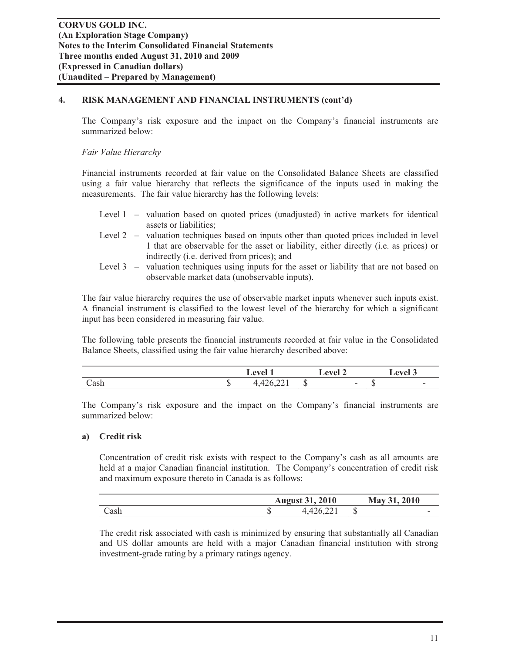# **4. RISK MANAGEMENT AND FINANCIAL INSTRUMENTS (cont'd)**

The Company's risk exposure and the impact on the Company's financial instruments are summarized below:

# *Fair Value Hierarchy*

Financial instruments recorded at fair value on the Consolidated Balance Sheets are classified using a fair value hierarchy that reflects the significance of the inputs used in making the measurements. The fair value hierarchy has the following levels:

|  |                        |  |  | Level 1 – valuation based on quoted prices (unadjusted) in active markets for identical |  |  |  |
|--|------------------------|--|--|-----------------------------------------------------------------------------------------|--|--|--|
|  | assets or liabilities; |  |  |                                                                                         |  |  |  |

- Level 2 valuation techniques based on inputs other than quoted prices included in level 1 that are observable for the asset or liability, either directly (i.e. as prices) or indirectly (i.e. derived from prices); and
- Level 3 valuation techniques using inputs for the asset or liability that are not based on observable market data (unobservable inputs).

The fair value hierarchy requires the use of observable market inputs whenever such inputs exist. A financial instrument is classified to the lowest level of the hierarchy for which a significant input has been considered in measuring fair value.

The following table presents the financial instruments recorded at fair value in the Consolidated Balance Sheets, classified using the fair value hierarchy described above:

|      |     | $\boldsymbol{\Delta}$ val<br>⊷  |    | $\sim$ lavel             |     | <b>ATTA</b> |
|------|-----|---------------------------------|----|--------------------------|-----|-------------|
| Cash | . . | $\sim$<br>$\sim$<br>1, 120, 221 | ۳D | $\overline{\phantom{a}}$ | . . | ۰           |

The Company's risk exposure and the impact on the Company's financial instruments are summarized below:

#### **a) Credit risk**

Concentration of credit risk exists with respect to the Company's cash as all amounts are held at a major Canadian financial institution. The Company's concentration of credit risk and maximum exposure thereto in Canada is as follows:

|      | 2010<br>August 31, |     | 2010<br>$\mathbf{M}$ ay |  |
|------|--------------------|-----|-------------------------|--|
| Cash |                    | دا، | -                       |  |

The credit risk associated with cash is minimized by ensuring that substantially all Canadian and US dollar amounts are held with a major Canadian financial institution with strong investment-grade rating by a primary ratings agency.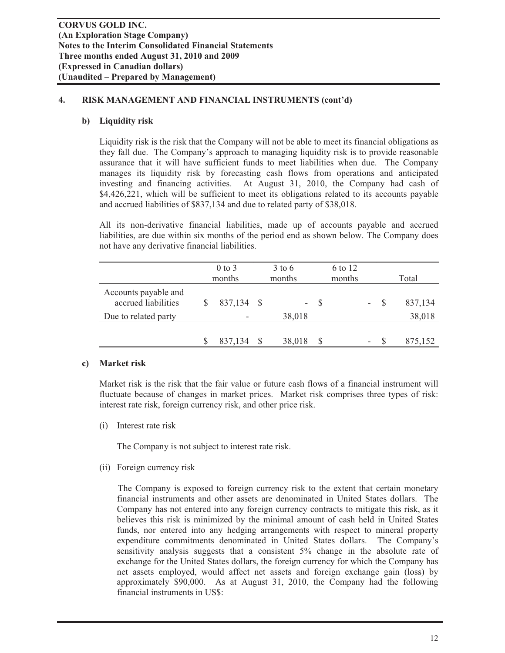# **4. RISK MANAGEMENT AND FINANCIAL INSTRUMENTS (cont'd)**

# **b) Liquidity risk**

Liquidity risk is the risk that the Company will not be able to meet its financial obligations as they fall due. The Company's approach to managing liquidity risk is to provide reasonable assurance that it will have sufficient funds to meet liabilities when due. The Company manages its liquidity risk by forecasting cash flows from operations and anticipated investing and financing activities. At August 31, 2010, the Company had cash of \$4,426,221, which will be sufficient to meet its obligations related to its accounts payable and accrued liabilities of \$837,134 and due to related party of \$38,018.

All its non-derivative financial liabilities, made up of accounts payable and accrued liabilities, are due within six months of the period end as shown below. The Company does not have any derivative financial liabilities.

|                                             | $0$ to $3$<br>months | $3$ to 6<br>months |              | 6 to 12<br>months |   |              | Total   |
|---------------------------------------------|----------------------|--------------------|--------------|-------------------|---|--------------|---------|
| Accounts payable and<br>accrued liabilities | 837,134 \$           | -                  | -S           |                   | ۰ | <sup>S</sup> | 837,134 |
| Due to related party                        |                      | 38,018             |              |                   |   |              | 38,018  |
|                                             | 837,134              | 38,018             | <sup>S</sup> |                   | ۰ |              | 875,152 |

# **c) Market risk**

Market risk is the risk that the fair value or future cash flows of a financial instrument will fluctuate because of changes in market prices. Market risk comprises three types of risk: interest rate risk, foreign currency risk, and other price risk.

(i) Interest rate risk

The Company is not subject to interest rate risk.

(ii) Foreign currency risk

 The Company is exposed to foreign currency risk to the extent that certain monetary financial instruments and other assets are denominated in United States dollars. The Company has not entered into any foreign currency contracts to mitigate this risk, as it believes this risk is minimized by the minimal amount of cash held in United States funds, nor entered into any hedging arrangements with respect to mineral property expenditure commitments denominated in United States dollars. The Company's sensitivity analysis suggests that a consistent 5% change in the absolute rate of exchange for the United States dollars, the foreign currency for which the Company has net assets employed, would affect net assets and foreign exchange gain (loss) by approximately \$90,000. As at August 31, 2010, the Company had the following financial instruments in US\$: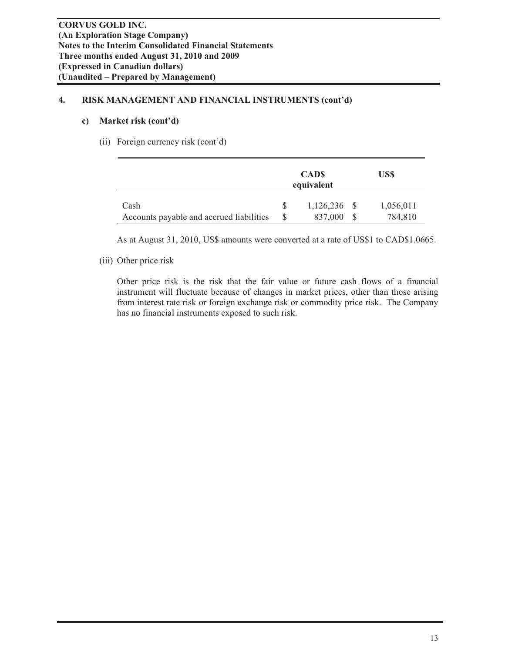# **4. RISK MANAGEMENT AND FINANCIAL INSTRUMENTS (cont'd)**

# **c) Market risk (cont'd)**

(ii) Foreign currency risk (cont'd)

|                                                  | <b>CADS</b><br>equivalent | US\$                 |
|--------------------------------------------------|---------------------------|----------------------|
| Cash<br>Accounts payable and accrued liabilities | $1,126,236$ \$<br>837,000 | 1,056,011<br>784,810 |

As at August 31, 2010, US\$ amounts were converted at a rate of US\$1 to CAD\$1.0665.

# (iii) Other price risk

Other price risk is the risk that the fair value or future cash flows of a financial instrument will fluctuate because of changes in market prices, other than those arising from interest rate risk or foreign exchange risk or commodity price risk. The Company has no financial instruments exposed to such risk.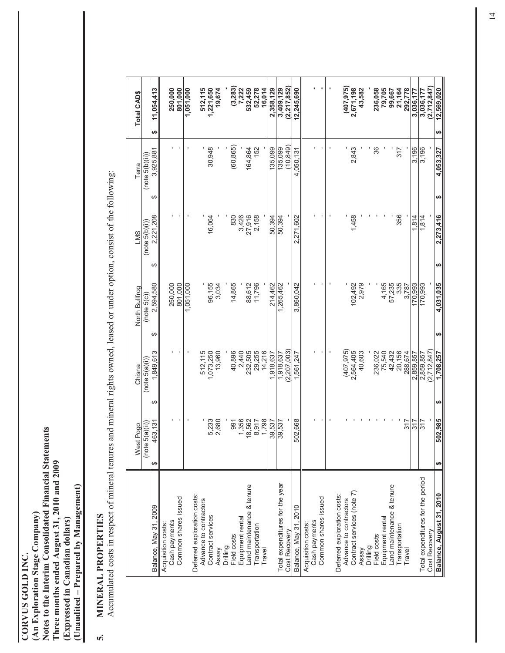**CORVUS GOLD INC.<br>(An Exploration Stage Company)**<br>Notes to the Interim Consolidated Financial Statements **Notes to the Interim Consolidated Financial Statements**  Three months ended August 31, 2010 and 2009 **Three months ended August 31, 2010 and 2009**  (Unaudited - Prepared by Management) **(Unaudited – Prepared by Management) (An Exploration Stage Company)**  (Expressed in Canadian dollars) **(Expressed in Canadian dollars) CORVUS GOLD INC.**

# MINERAL PROPERTIES **5. MINERAL PROPERTIES**  ้

Accumulated costs in respect of mineral tenures and mineral rights owned, leased or under option, consist of the following: Accumulated costs in respect of mineral tenures and mineral rights owned, leased or under option, consist of the following:

|                                                      | st Pogo<br>$\stackrel{\circ}{\geq}$ |                | Chisna                  | North Bullfrog  |       | <b>LMS</b>     | Terra           | Total CAD\$             |
|------------------------------------------------------|-------------------------------------|----------------|-------------------------|-----------------|-------|----------------|-----------------|-------------------------|
|                                                      | (note 5(a)(ii))                     |                | (note 5(a)(i))          | (note 5(c)      |       | (note 5(b)(i)) | (note 5(b)(ii)) |                         |
| Balance, May 31, 2009                                | 463,131<br>↮                        | ↔              | 1,849,613               | 2,594,580<br>↮  | ↮     | 2,221,208      | 3,925,881<br>↮  | 11,054,413<br>↮         |
| Cash payments<br>Acquisition costs:                  |                                     |                |                         | 250,000         |       |                |                 | 250,000                 |
| Common shares issued                                 |                                     |                |                         | 801,000         |       |                |                 | 801,000                 |
|                                                      |                                     |                |                         | 1,051,000       |       |                |                 | 1,051,000               |
| Deferred exploration costs:                          |                                     |                |                         |                 |       |                |                 |                         |
| Advance to contractors                               |                                     |                | 512,115                 |                 |       |                |                 | 512,115                 |
| Contract services                                    |                                     | 5,233<br>2,680 | 1,073,250<br>13,960     | 96,155          | 3,034 | 16,064         | 30,948          | 1,221,650               |
| Drilling<br>Assay                                    |                                     |                |                         |                 |       |                |                 | 19,674                  |
| Field costs                                          |                                     | 991            | 40,896                  | 14,865          |       | 830            | (60, 865)       |                         |
| Equipment rental                                     |                                     | 1,356          | 2,440                   |                 |       | 3,426          |                 | $(3, 283)$<br>7, 222    |
| and maintenance & tenure                             |                                     | 18,562         | 232,505                 | 88,612          |       | 27,916         | 164,864         | 532,459                 |
| Transportation                                       |                                     | 8,917          | 29,255                  | 11,796          |       | 2,158          | 152             | 52,278                  |
| Travel                                               |                                     | 1,798          | 14,216                  |                 |       |                |                 | 16,014                  |
|                                                      |                                     | 39,537         | 918,637                 | 214,462         |       | 50,394         | 135,099         | 2,358,129               |
| Total expenditures for the year                      |                                     | 39,537         | 1,918,637               | 1,265,462       |       | 50,394         | 135,099         | 3,409,129               |
| Cost Recovery                                        |                                     |                | 2.207.003               |                 |       |                | (949)           | (2.217.852)             |
| Balance, May 31, 2010                                | 502,668                             |                | 1,561,247               | 3,860,042       |       | 2,271,602      | 4,050,131       | 12,245,690              |
| Acquisition costs:                                   |                                     |                |                         |                 |       |                |                 |                         |
| Cash payments                                        |                                     |                |                         |                 |       |                |                 |                         |
| Common shares issued                                 |                                     |                |                         |                 |       |                |                 |                         |
|                                                      |                                     |                |                         |                 |       |                |                 |                         |
| Deferred exploration costs:                          |                                     |                |                         |                 |       |                |                 |                         |
| Contract services (note 7)<br>Advance to contractors |                                     |                | (407, 975)<br>2,564,405 | 102.492         |       | 1,458          | 2,843           | (407, 975)<br>2,671,198 |
| Assay                                                |                                     |                | 40,603                  |                 | 2,979 |                |                 | 43,582                  |
| Drilling                                             |                                     |                |                         |                 |       |                |                 |                         |
| Field costs                                          |                                     |                | 236,022                 |                 |       |                | 36              | 236,058                 |
| Equipment rental                                     |                                     |                | 75,540                  | 4,165<br>57,235 |       |                |                 | 79,705                  |
| Land maintenance & tenure                            |                                     |                | 42,432                  |                 |       |                |                 | 99,667                  |
| Transportation                                       |                                     |                | 20,156                  |                 | 335   | 356            | 317             | 21,164                  |
| Travel                                               |                                     | 317            | 288,674                 |                 | 3,787 |                |                 | 292,778                 |
|                                                      |                                     | $\frac{2}{3}$  | 2,859,857               | 170,993         |       | 1.814          | 3,196           | 3,036,177               |
| Total expenditures for the period                    |                                     | 317            | 2,859,857               | 170,993         |       | 1,814          | 3,196           | 3,036,177               |
| Cost Recovery                                        |                                     |                | (2, 712, 847)           |                 |       |                |                 | (2, 712, 847)           |
| Balance, August 31, 2010                             | 502,985<br>↮                        | မာ             | 1,708,257               | 4,031,035<br>↮  | ക     | 2,273,416      | 4,053,327<br>↮  | 12,569,020<br>↮         |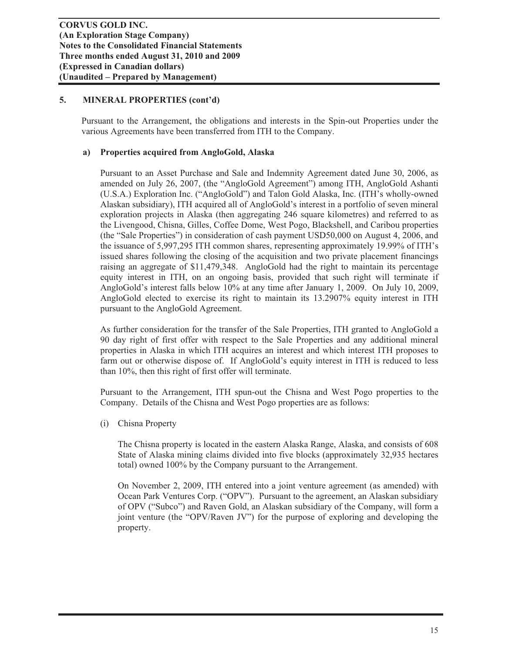Pursuant to the Arrangement, the obligations and interests in the Spin-out Properties under the various Agreements have been transferred from ITH to the Company.

# **a) Properties acquired from AngloGold, Alaska**

Pursuant to an Asset Purchase and Sale and Indemnity Agreement dated June 30, 2006, as amended on July 26, 2007, (the "AngloGold Agreement") among ITH, AngloGold Ashanti (U.S.A.) Exploration Inc. ("AngloGold") and Talon Gold Alaska, Inc. (ITH's wholly-owned Alaskan subsidiary), ITH acquired all of AngloGold's interest in a portfolio of seven mineral exploration projects in Alaska (then aggregating 246 square kilometres) and referred to as the Livengood, Chisna, Gilles, Coffee Dome, West Pogo, Blackshell, and Caribou properties (the "Sale Properties") in consideration of cash payment USD50,000 on August 4, 2006, and the issuance of 5,997,295 ITH common shares, representing approximately 19.99% of ITH's issued shares following the closing of the acquisition and two private placement financings raising an aggregate of \$11,479,348. AngloGold had the right to maintain its percentage equity interest in ITH, on an ongoing basis, provided that such right will terminate if AngloGold's interest falls below 10% at any time after January 1, 2009. On July 10, 2009, AngloGold elected to exercise its right to maintain its 13.2907% equity interest in ITH pursuant to the AngloGold Agreement.

As further consideration for the transfer of the Sale Properties, ITH granted to AngloGold a 90 day right of first offer with respect to the Sale Properties and any additional mineral properties in Alaska in which ITH acquires an interest and which interest ITH proposes to farm out or otherwise dispose of. If AngloGold's equity interest in ITH is reduced to less than 10%, then this right of first offer will terminate.

Pursuant to the Arrangement, ITH spun-out the Chisna and West Pogo properties to the Company. Details of the Chisna and West Pogo properties are as follows:

(i) Chisna Property

The Chisna property is located in the eastern Alaska Range, Alaska, and consists of 608 State of Alaska mining claims divided into five blocks (approximately 32,935 hectares total) owned 100% by the Company pursuant to the Arrangement.

On November 2, 2009, ITH entered into a joint venture agreement (as amended) with Ocean Park Ventures Corp. ("OPV"). Pursuant to the agreement, an Alaskan subsidiary of OPV ("Subco") and Raven Gold, an Alaskan subsidiary of the Company, will form a joint venture (the "OPV/Raven JV") for the purpose of exploring and developing the property.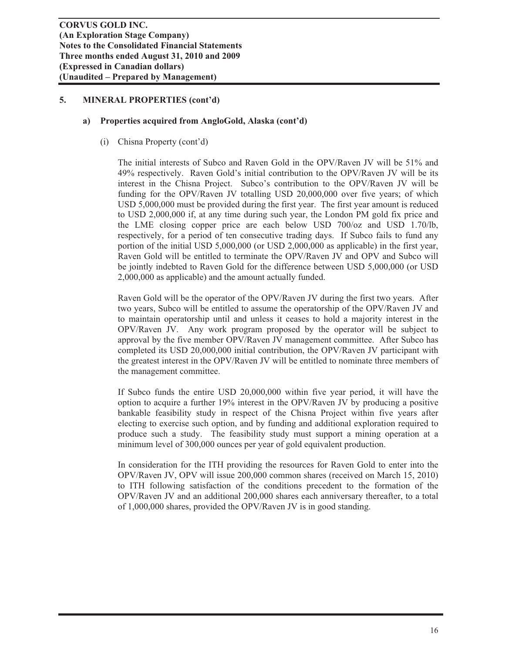#### **a) Properties acquired from AngloGold, Alaska (cont'd)**

(i) Chisna Property (cont'd)

The initial interests of Subco and Raven Gold in the OPV/Raven JV will be 51% and 49% respectively. Raven Gold's initial contribution to the OPV/Raven JV will be its interest in the Chisna Project. Subco's contribution to the OPV/Raven JV will be funding for the OPV/Raven JV totalling USD 20,000,000 over five years; of which USD 5,000,000 must be provided during the first year. The first year amount is reduced to USD 2,000,000 if, at any time during such year, the London PM gold fix price and the LME closing copper price are each below USD 700/oz and USD 1.70/lb, respectively, for a period of ten consecutive trading days. If Subco fails to fund any portion of the initial USD 5,000,000 (or USD 2,000,000 as applicable) in the first year, Raven Gold will be entitled to terminate the OPV/Raven JV and OPV and Subco will be jointly indebted to Raven Gold for the difference between USD 5,000,000 (or USD 2,000,000 as applicable) and the amount actually funded.

Raven Gold will be the operator of the OPV/Raven JV during the first two years. After two years, Subco will be entitled to assume the operatorship of the OPV/Raven JV and to maintain operatorship until and unless it ceases to hold a majority interest in the OPV/Raven JV. Any work program proposed by the operator will be subject to approval by the five member OPV/Raven JV management committee. After Subco has completed its USD 20,000,000 initial contribution, the OPV/Raven JV participant with the greatest interest in the OPV/Raven JV will be entitled to nominate three members of the management committee.

If Subco funds the entire USD 20,000,000 within five year period, it will have the option to acquire a further 19% interest in the OPV/Raven JV by producing a positive bankable feasibility study in respect of the Chisna Project within five years after electing to exercise such option, and by funding and additional exploration required to produce such a study. The feasibility study must support a mining operation at a minimum level of 300,000 ounces per year of gold equivalent production.

In consideration for the ITH providing the resources for Raven Gold to enter into the OPV/Raven JV, OPV will issue 200,000 common shares (received on March 15, 2010) to ITH following satisfaction of the conditions precedent to the formation of the OPV/Raven JV and an additional 200,000 shares each anniversary thereafter, to a total of 1,000,000 shares, provided the OPV/Raven JV is in good standing.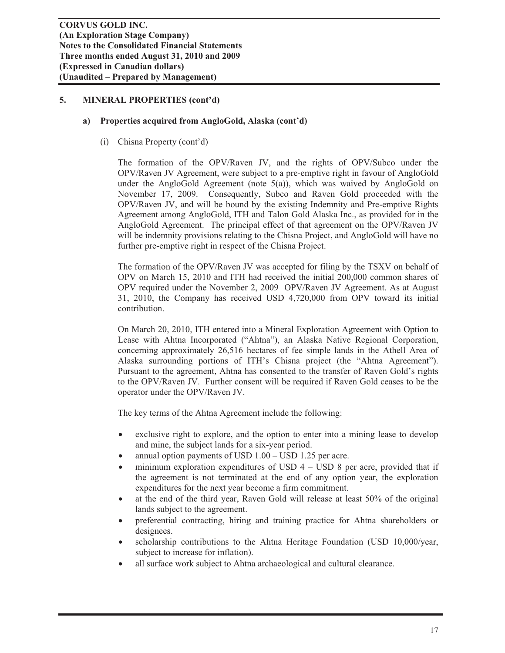#### **a) Properties acquired from AngloGold, Alaska (cont'd)**

(i) Chisna Property (cont'd)

The formation of the OPV/Raven JV, and the rights of OPV/Subco under the OPV/Raven JV Agreement, were subject to a pre-emptive right in favour of AngloGold under the AngloGold Agreement (note 5(a)), which was waived by AngloGold on November 17, 2009. Consequently, Subco and Raven Gold proceeded with the OPV/Raven JV, and will be bound by the existing Indemnity and Pre-emptive Rights Agreement among AngloGold, ITH and Talon Gold Alaska Inc., as provided for in the AngloGold Agreement. The principal effect of that agreement on the OPV/Raven JV will be indemnity provisions relating to the Chisna Project, and AngloGold will have no further pre-emptive right in respect of the Chisna Project.

The formation of the OPV/Raven JV was accepted for filing by the TSXV on behalf of OPV on March 15, 2010 and ITH had received the initial 200,000 common shares of OPV required under the November 2, 2009 OPV/Raven JV Agreement. As at August 31, 2010, the Company has received USD 4,720,000 from OPV toward its initial contribution.

On March 20, 2010, ITH entered into a Mineral Exploration Agreement with Option to Lease with Ahtna Incorporated ("Ahtna"), an Alaska Native Regional Corporation, concerning approximately 26,516 hectares of fee simple lands in the Athell Area of Alaska surrounding portions of ITH's Chisna project (the "Ahtna Agreement"). Pursuant to the agreement, Ahtna has consented to the transfer of Raven Gold's rights to the OPV/Raven JV. Further consent will be required if Raven Gold ceases to be the operator under the OPV/Raven JV.

The key terms of the Ahtna Agreement include the following:

- exclusive right to explore, and the option to enter into a mining lease to develop and mine, the subject lands for a six-year period.
- annual option payments of USD  $1.00 -$  USD  $1.25$  per acre.
- minimum exploration expenditures of USD  $4 -$  USD 8 per acre, provided that if the agreement is not terminated at the end of any option year, the exploration expenditures for the next year become a firm commitment.
- at the end of the third year, Raven Gold will release at least 50% of the original lands subject to the agreement.
- x preferential contracting, hiring and training practice for Ahtna shareholders or designees.
- x scholarship contributions to the Ahtna Heritage Foundation (USD 10,000/year, subject to increase for inflation).
- all surface work subject to Ahtna archaeological and cultural clearance.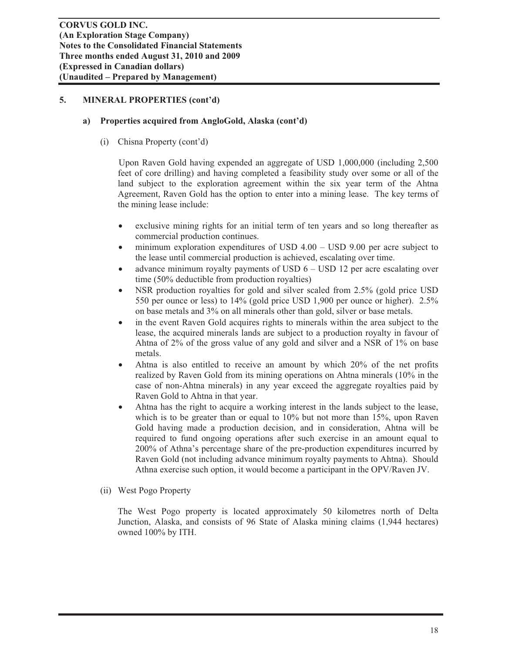#### **a) Properties acquired from AngloGold, Alaska (cont'd)**

(i) Chisna Property (cont'd)

 Upon Raven Gold having expended an aggregate of USD 1,000,000 (including 2,500 feet of core drilling) and having completed a feasibility study over some or all of the land subject to the exploration agreement within the six year term of the Ahtna Agreement, Raven Gold has the option to enter into a mining lease. The key terms of the mining lease include:

- exclusive mining rights for an initial term of ten years and so long thereafter as commercial production continues.
- $\bullet$  minimum exploration expenditures of USD 4.00 USD 9.00 per acre subject to the lease until commercial production is achieved, escalating over time.
- advance minimum royalty payments of USD  $6 -$  USD 12 per acre escalating over time (50% deductible from production royalties)
- NSR production royalties for gold and silver scaled from 2.5% (gold price USD 550 per ounce or less) to 14% (gold price USD 1,900 per ounce or higher). 2.5% on base metals and 3% on all minerals other than gold, silver or base metals.
- in the event Raven Gold acquires rights to minerals within the area subject to the lease, the acquired minerals lands are subject to a production royalty in favour of Ahtna of 2% of the gross value of any gold and silver and a NSR of 1% on base metals.
- Ahtna is also entitled to receive an amount by which 20% of the net profits realized by Raven Gold from its mining operations on Ahtna minerals (10% in the case of non-Ahtna minerals) in any year exceed the aggregate royalties paid by Raven Gold to Ahtna in that year.
- Ahtna has the right to acquire a working interest in the lands subject to the lease, which is to be greater than or equal to 10% but not more than 15%, upon Raven Gold having made a production decision, and in consideration, Ahtna will be required to fund ongoing operations after such exercise in an amount equal to 200% of Athna's percentage share of the pre-production expenditures incurred by Raven Gold (not including advance minimum royalty payments to Ahtna). Should Athna exercise such option, it would become a participant in the OPV/Raven JV.
- (ii) West Pogo Property

The West Pogo property is located approximately 50 kilometres north of Delta Junction, Alaska, and consists of 96 State of Alaska mining claims (1,944 hectares) owned 100% by ITH.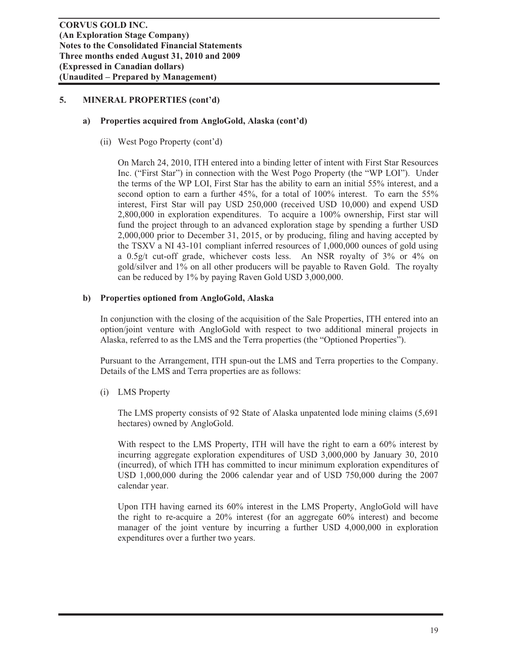#### **a) Properties acquired from AngloGold, Alaska (cont'd)**

(ii) West Pogo Property (cont'd)

On March 24, 2010, ITH entered into a binding letter of intent with First Star Resources Inc. ("First Star") in connection with the West Pogo Property (the "WP LOI"). Under the terms of the WP LOI, First Star has the ability to earn an initial 55% interest, and a second option to earn a further 45%, for a total of 100% interest. To earn the 55% interest, First Star will pay USD 250,000 (received USD 10,000) and expend USD 2,800,000 in exploration expenditures. To acquire a 100% ownership, First star will fund the project through to an advanced exploration stage by spending a further USD 2,000,000 prior to December 31, 2015, or by producing, filing and having accepted by the TSXV a NI 43-101 compliant inferred resources of 1,000,000 ounces of gold using a 0.5g/t cut-off grade, whichever costs less. An NSR royalty of 3% or 4% on gold/silver and 1% on all other producers will be payable to Raven Gold. The royalty can be reduced by 1% by paying Raven Gold USD 3,000,000.

#### **b) Properties optioned from AngloGold, Alaska**

In conjunction with the closing of the acquisition of the Sale Properties, ITH entered into an option/joint venture with AngloGold with respect to two additional mineral projects in Alaska, referred to as the LMS and the Terra properties (the "Optioned Properties").

Pursuant to the Arrangement, ITH spun-out the LMS and Terra properties to the Company. Details of the LMS and Terra properties are as follows:

(i) LMS Property

The LMS property consists of 92 State of Alaska unpatented lode mining claims (5,691 hectares) owned by AngloGold.

With respect to the LMS Property, ITH will have the right to earn a 60% interest by incurring aggregate exploration expenditures of USD 3,000,000 by January 30, 2010 (incurred), of which ITH has committed to incur minimum exploration expenditures of USD 1,000,000 during the 2006 calendar year and of USD 750,000 during the 2007 calendar year.

Upon ITH having earned its 60% interest in the LMS Property, AngloGold will have the right to re-acquire a 20% interest (for an aggregate 60% interest) and become manager of the joint venture by incurring a further USD 4,000,000 in exploration expenditures over a further two years.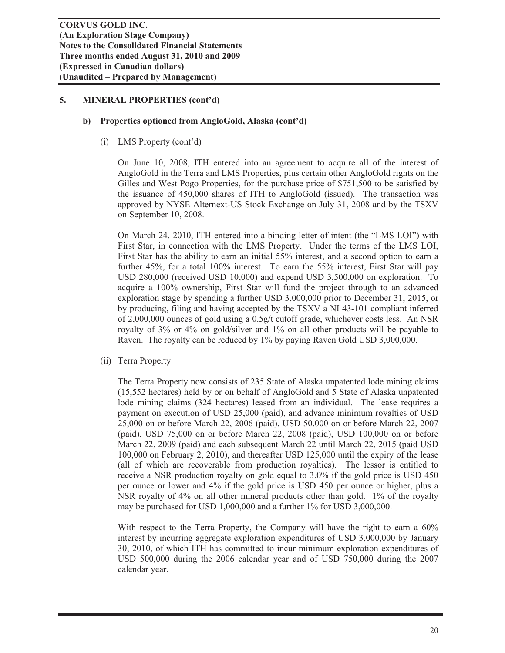#### **b) Properties optioned from AngloGold, Alaska (cont'd)**

(i) LMS Property (cont'd)

On June 10, 2008, ITH entered into an agreement to acquire all of the interest of AngloGold in the Terra and LMS Properties, plus certain other AngloGold rights on the Gilles and West Pogo Properties, for the purchase price of \$751,500 to be satisfied by the issuance of 450,000 shares of ITH to AngloGold (issued). The transaction was approved by NYSE Alternext-US Stock Exchange on July 31, 2008 and by the TSXV on September 10, 2008.

On March 24, 2010, ITH entered into a binding letter of intent (the "LMS LOI") with First Star, in connection with the LMS Property. Under the terms of the LMS LOI, First Star has the ability to earn an initial 55% interest, and a second option to earn a further 45%, for a total 100% interest. To earn the 55% interest, First Star will pay USD 280,000 (received USD 10,000) and expend USD 3,500,000 on exploration. To acquire a 100% ownership, First Star will fund the project through to an advanced exploration stage by spending a further USD 3,000,000 prior to December 31, 2015, or by producing, filing and having accepted by the TSXV a NI 43-101 compliant inferred of 2,000,000 ounces of gold using a  $0.5g/t$  cutoff grade, whichever costs less. An NSR royalty of 3% or 4% on gold/silver and 1% on all other products will be payable to Raven. The royalty can be reduced by 1% by paying Raven Gold USD 3,000,000.

(ii) Terra Property

The Terra Property now consists of 235 State of Alaska unpatented lode mining claims (15,552 hectares) held by or on behalf of AngloGold and 5 State of Alaska unpatented lode mining claims (324 hectares) leased from an individual. The lease requires a payment on execution of USD 25,000 (paid), and advance minimum royalties of USD 25,000 on or before March 22, 2006 (paid), USD 50,000 on or before March 22, 2007 (paid), USD 75,000 on or before March 22, 2008 (paid), USD 100,000 on or before March 22, 2009 (paid) and each subsequent March 22 until March 22, 2015 (paid USD 100,000 on February 2, 2010), and thereafter USD 125,000 until the expiry of the lease (all of which are recoverable from production royalties). The lessor is entitled to receive a NSR production royalty on gold equal to 3.0% if the gold price is USD 450 per ounce or lower and 4% if the gold price is USD 450 per ounce or higher, plus a NSR royalty of 4% on all other mineral products other than gold. 1% of the royalty may be purchased for USD 1,000,000 and a further 1% for USD 3,000,000.

With respect to the Terra Property, the Company will have the right to earn a 60% interest by incurring aggregate exploration expenditures of USD 3,000,000 by January 30, 2010, of which ITH has committed to incur minimum exploration expenditures of USD 500,000 during the 2006 calendar year and of USD 750,000 during the 2007 calendar year.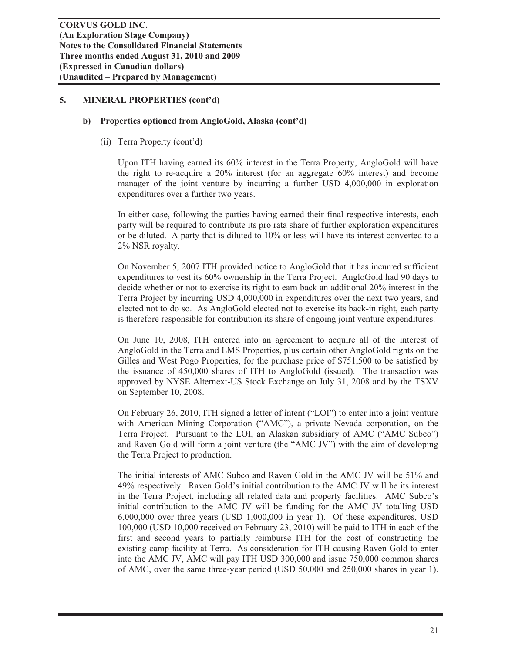#### **b) Properties optioned from AngloGold, Alaska (cont'd)**

(ii) Terra Property (cont'd)

Upon ITH having earned its 60% interest in the Terra Property, AngloGold will have the right to re-acquire a 20% interest (for an aggregate 60% interest) and become manager of the joint venture by incurring a further USD 4,000,000 in exploration expenditures over a further two years.

In either case, following the parties having earned their final respective interests, each party will be required to contribute its pro rata share of further exploration expenditures or be diluted. A party that is diluted to 10% or less will have its interest converted to a 2% NSR royalty.

On November 5, 2007 ITH provided notice to AngloGold that it has incurred sufficient expenditures to vest its 60% ownership in the Terra Project. AngloGold had 90 days to decide whether or not to exercise its right to earn back an additional 20% interest in the Terra Project by incurring USD 4,000,000 in expenditures over the next two years, and elected not to do so. As AngloGold elected not to exercise its back-in right, each party is therefore responsible for contribution its share of ongoing joint venture expenditures.

On June 10, 2008, ITH entered into an agreement to acquire all of the interest of AngloGold in the Terra and LMS Properties, plus certain other AngloGold rights on the Gilles and West Pogo Properties, for the purchase price of \$751,500 to be satisfied by the issuance of 450,000 shares of ITH to AngloGold (issued). The transaction was approved by NYSE Alternext-US Stock Exchange on July 31, 2008 and by the TSXV on September 10, 2008.

On February 26, 2010, ITH signed a letter of intent ("LOI") to enter into a joint venture with American Mining Corporation ("AMC"), a private Nevada corporation, on the Terra Project. Pursuant to the LOI, an Alaskan subsidiary of AMC ("AMC Subco") and Raven Gold will form a joint venture (the "AMC JV") with the aim of developing the Terra Project to production.

The initial interests of AMC Subco and Raven Gold in the AMC JV will be 51% and 49% respectively. Raven Gold's initial contribution to the AMC JV will be its interest in the Terra Project, including all related data and property facilities. AMC Subco's initial contribution to the AMC JV will be funding for the AMC JV totalling USD 6,000,000 over three years (USD 1,000,000 in year 1). Of these expenditures, USD 100,000 (USD 10,000 received on February 23, 2010) will be paid to ITH in each of the first and second years to partially reimburse ITH for the cost of constructing the existing camp facility at Terra. As consideration for ITH causing Raven Gold to enter into the AMC JV, AMC will pay ITH USD 300,000 and issue 750,000 common shares of AMC, over the same three-year period (USD 50,000 and 250,000 shares in year 1).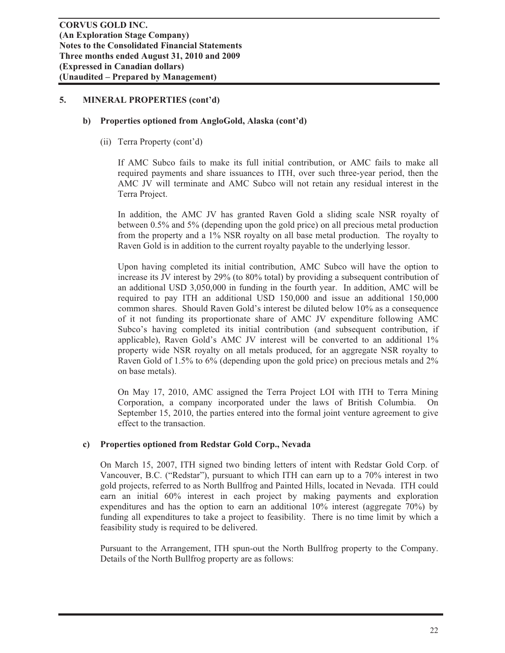#### **b) Properties optioned from AngloGold, Alaska (cont'd)**

(ii) Terra Property (cont'd)

If AMC Subco fails to make its full initial contribution, or AMC fails to make all required payments and share issuances to ITH, over such three-year period, then the AMC JV will terminate and AMC Subco will not retain any residual interest in the Terra Project.

In addition, the AMC JV has granted Raven Gold a sliding scale NSR royalty of between 0.5% and 5% (depending upon the gold price) on all precious metal production from the property and a 1% NSR royalty on all base metal production. The royalty to Raven Gold is in addition to the current royalty payable to the underlying lessor.

Upon having completed its initial contribution, AMC Subco will have the option to increase its JV interest by 29% (to 80% total) by providing a subsequent contribution of an additional USD 3,050,000 in funding in the fourth year. In addition, AMC will be required to pay ITH an additional USD 150,000 and issue an additional 150,000 common shares. Should Raven Gold's interest be diluted below 10% as a consequence of it not funding its proportionate share of AMC JV expenditure following AMC Subco's having completed its initial contribution (and subsequent contribution, if applicable), Raven Gold's AMC JV interest will be converted to an additional 1% property wide NSR royalty on all metals produced, for an aggregate NSR royalty to Raven Gold of 1.5% to 6% (depending upon the gold price) on precious metals and 2% on base metals).

On May 17, 2010, AMC assigned the Terra Project LOI with ITH to Terra Mining Corporation, a company incorporated under the laws of British Columbia. On September 15, 2010, the parties entered into the formal joint venture agreement to give effect to the transaction.

#### **c) Properties optioned from Redstar Gold Corp., Nevada**

On March 15, 2007, ITH signed two binding letters of intent with Redstar Gold Corp. of Vancouver, B.C. ("Redstar"), pursuant to which ITH can earn up to a 70% interest in two gold projects, referred to as North Bullfrog and Painted Hills, located in Nevada. ITH could earn an initial 60% interest in each project by making payments and exploration expenditures and has the option to earn an additional 10% interest (aggregate 70%) by funding all expenditures to take a project to feasibility. There is no time limit by which a feasibility study is required to be delivered.

Pursuant to the Arrangement, ITH spun-out the North Bullfrog property to the Company. Details of the North Bullfrog property are as follows: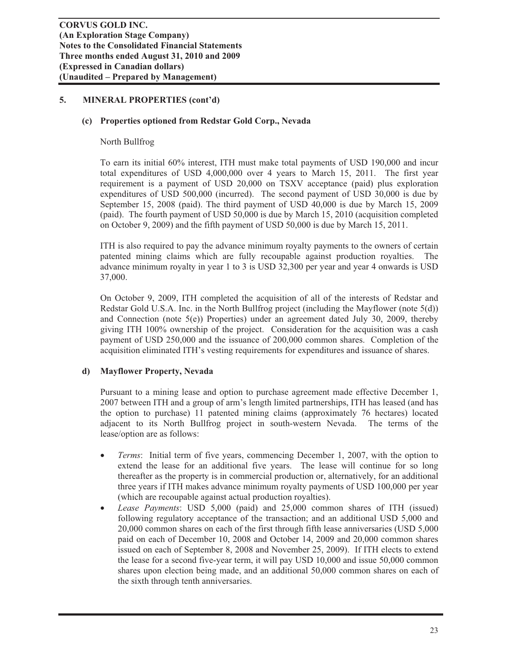#### **(c) Properties optioned from Redstar Gold Corp., Nevada**

#### North Bullfrog

To earn its initial 60% interest, ITH must make total payments of USD 190,000 and incur total expenditures of USD 4,000,000 over 4 years to March 15, 2011. The first year requirement is a payment of USD 20,000 on TSXV acceptance (paid) plus exploration expenditures of USD 500,000 (incurred). The second payment of USD 30,000 is due by September 15, 2008 (paid). The third payment of USD 40,000 is due by March 15, 2009 (paid). The fourth payment of USD 50,000 is due by March 15, 2010 (acquisition completed on October 9, 2009) and the fifth payment of USD 50,000 is due by March 15, 2011.

ITH is also required to pay the advance minimum royalty payments to the owners of certain patented mining claims which are fully recoupable against production royalties. The advance minimum royalty in year 1 to 3 is USD 32,300 per year and year 4 onwards is USD 37,000.

On October 9, 2009, ITH completed the acquisition of all of the interests of Redstar and Redstar Gold U.S.A. Inc. in the North Bullfrog project (including the Mayflower (note 5(d)) and Connection (note 5(e)) Properties) under an agreement dated July 30, 2009, thereby giving ITH 100% ownership of the project. Consideration for the acquisition was a cash payment of USD 250,000 and the issuance of 200,000 common shares. Completion of the acquisition eliminated ITH's vesting requirements for expenditures and issuance of shares.

#### **d) Mayflower Property, Nevada**

Pursuant to a mining lease and option to purchase agreement made effective December 1, 2007 between ITH and a group of arm's length limited partnerships, ITH has leased (and has the option to purchase) 11 patented mining claims (approximately 76 hectares) located adjacent to its North Bullfrog project in south-western Nevada. The terms of the lease/option are as follows:

- *Terms*: Initial term of five years, commencing December 1, 2007, with the option to extend the lease for an additional five years. The lease will continue for so long thereafter as the property is in commercial production or, alternatively, for an additional three years if ITH makes advance minimum royalty payments of USD 100,000 per year (which are recoupable against actual production royalties).
- x *Lease Payments*: USD 5,000 (paid) and 25,000 common shares of ITH (issued) following regulatory acceptance of the transaction; and an additional USD 5,000 and 20,000 common shares on each of the first through fifth lease anniversaries (USD 5,000 paid on each of December 10, 2008 and October 14, 2009 and 20,000 common shares issued on each of September 8, 2008 and November 25, 2009). If ITH elects to extend the lease for a second five-year term, it will pay USD 10,000 and issue 50,000 common shares upon election being made, and an additional 50,000 common shares on each of the sixth through tenth anniversaries.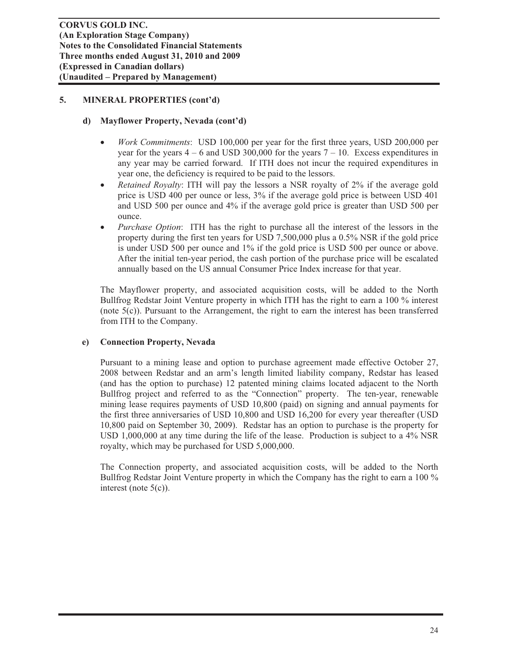# **d) Mayflower Property, Nevada (cont'd)**

- *Work Commitments*: USD 100,000 per year for the first three years, USD 200,000 per year for the years  $4 - 6$  and USD 300,000 for the years  $7 - 10$ . Excess expenditures in any year may be carried forward. If ITH does not incur the required expenditures in year one, the deficiency is required to be paid to the lessors.
- x *Retained Royalty*: ITH will pay the lessors a NSR royalty of 2% if the average gold price is USD 400 per ounce or less, 3% if the average gold price is between USD 401 and USD 500 per ounce and 4% if the average gold price is greater than USD 500 per ounce.
- *Purchase Option*: ITH has the right to purchase all the interest of the lessors in the property during the first ten years for USD 7,500,000 plus a 0.5% NSR if the gold price is under USD 500 per ounce and 1% if the gold price is USD 500 per ounce or above. After the initial ten-year period, the cash portion of the purchase price will be escalated annually based on the US annual Consumer Price Index increase for that year.

The Mayflower property, and associated acquisition costs, will be added to the North Bullfrog Redstar Joint Venture property in which ITH has the right to earn a 100 % interest (note 5(c)). Pursuant to the Arrangement, the right to earn the interest has been transferred from ITH to the Company.

#### **e) Connection Property, Nevada**

Pursuant to a mining lease and option to purchase agreement made effective October 27, 2008 between Redstar and an arm's length limited liability company, Redstar has leased (and has the option to purchase) 12 patented mining claims located adjacent to the North Bullfrog project and referred to as the "Connection" property. The ten-year, renewable mining lease requires payments of USD 10,800 (paid) on signing and annual payments for the first three anniversaries of USD 10,800 and USD 16,200 for every year thereafter (USD 10,800 paid on September 30, 2009). Redstar has an option to purchase is the property for USD 1,000,000 at any time during the life of the lease. Production is subject to a 4% NSR royalty, which may be purchased for USD 5,000,000.

The Connection property, and associated acquisition costs, will be added to the North Bullfrog Redstar Joint Venture property in which the Company has the right to earn a 100 % interest (note 5(c)).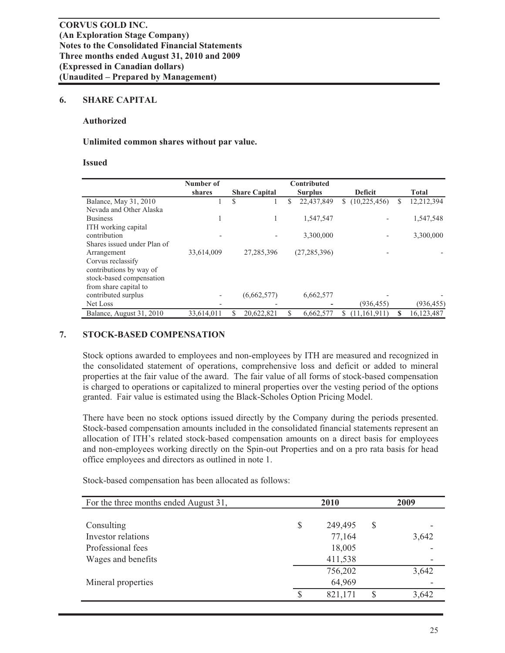#### **6. SHARE CAPITAL**

#### **Authorized**

#### **Unlimited common shares without par value.**

#### **Issued**

|                             | Number of                |   |                      |               | Contributed    |                |   |              |
|-----------------------------|--------------------------|---|----------------------|---------------|----------------|----------------|---|--------------|
|                             | shares                   |   | <b>Share Capital</b> |               | <b>Surplus</b> | <b>Deficit</b> |   | <b>Total</b> |
| Balance, May 31, 2010       |                          | S |                      | <sup>\$</sup> | 22,437,849     | (10,225,456)   | S | 12,212,394   |
| Nevada and Other Alaska     |                          |   |                      |               |                |                |   |              |
| <b>Business</b>             | 1                        |   |                      |               | 1,547,547      |                |   | 1,547,548    |
| ITH working capital         |                          |   |                      |               |                |                |   |              |
| contribution                |                          |   |                      |               | 3,300,000      |                |   | 3,300,000    |
| Shares issued under Plan of |                          |   |                      |               |                |                |   |              |
| Arrangement                 | 33,614,009               |   | 27,285,396           |               | (27, 285, 396) |                |   |              |
| Corvus reclassify           |                          |   |                      |               |                |                |   |              |
| contributions by way of     |                          |   |                      |               |                |                |   |              |
| stock-based compensation    |                          |   |                      |               |                |                |   |              |
| from share capital to       |                          |   |                      |               |                |                |   |              |
| contributed surplus         | $\overline{\phantom{a}}$ |   | (6,662,577)          |               | 6,662,577      |                |   |              |
| Net Loss                    |                          |   |                      |               |                | (936, 455)     |   | (936, 455)   |
| Balance, August 31, 2010    | 33,614,011               |   | 20,622,821           | S             | 6,662,577      | (11, 161, 911) |   | 16,123,487   |

#### **7. STOCK-BASED COMPENSATION**

Stock options awarded to employees and non-employees by ITH are measured and recognized in the consolidated statement of operations, comprehensive loss and deficit or added to mineral properties at the fair value of the award. The fair value of all forms of stock-based compensation is charged to operations or capitalized to mineral properties over the vesting period of the options granted. Fair value is estimated using the Black-Scholes Option Pricing Model.

There have been no stock options issued directly by the Company during the periods presented. Stock-based compensation amounts included in the consolidated financial statements represent an allocation of ITH's related stock-based compensation amounts on a direct basis for employees and non-employees working directly on the Spin-out Properties and on a pro rata basis for head office employees and directors as outlined in note 1.

| For the three months ended August 31, |    | 2010    |    | 2009  |
|---------------------------------------|----|---------|----|-------|
|                                       |    |         |    |       |
| Consulting                            | \$ | 249,495 | \$ |       |
| Investor relations                    |    | 77,164  |    | 3,642 |
| Professional fees                     |    | 18,005  |    |       |
| Wages and benefits                    |    | 411,538 |    |       |
|                                       |    | 756,202 |    | 3,642 |
| Mineral properties                    |    | 64,969  |    |       |
|                                       | S  | 821,171 | S  | 3,642 |

Stock-based compensation has been allocated as follows: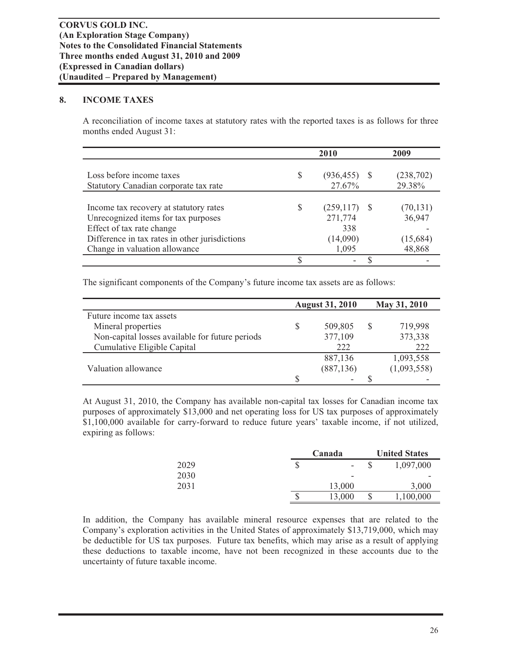# **8. INCOME TAXES**

A reconciliation of income taxes at statutory rates with the reported taxes is as follows for three months ended August 31:

|                                                                                                                                                                                               | 2010 |                                                   |  | 2009                                      |  |
|-----------------------------------------------------------------------------------------------------------------------------------------------------------------------------------------------|------|---------------------------------------------------|--|-------------------------------------------|--|
| Loss before income taxes<br>Statutory Canadian corporate tax rate                                                                                                                             | S    | $(936, 455)$ \$<br>27.67%                         |  | (238, 702)<br>29.38%                      |  |
| Income tax recovery at statutory rates<br>Unrecognized items for tax purposes<br>Effect of tax rate change<br>Difference in tax rates in other jurisdictions<br>Change in valuation allowance | S    | (259, 117)<br>271,774<br>338<br>(14,090)<br>1,095 |  | (70, 131)<br>36,947<br>(15,684)<br>48,868 |  |
|                                                                                                                                                                                               |      |                                                   |  |                                           |  |

The significant components of the Company's future income tax assets are as follows:

|                                                 | <b>August 31, 2010</b> |            | May 31, 2010 |             |
|-------------------------------------------------|------------------------|------------|--------------|-------------|
| Future income tax assets                        |                        |            |              |             |
| Mineral properties                              |                        | 509,805    | S            | 719,998     |
| Non-capital losses available for future periods |                        | 377,109    |              | 373,338     |
| Cumulative Eligible Capital                     |                        | 222        |              | 222         |
|                                                 |                        | 887,136    |              | 1,093,558   |
| Valuation allowance                             |                        | (887, 136) |              | (1,093,558) |
|                                                 |                        | ۰          |              |             |

At August 31, 2010, the Company has available non-capital tax losses for Canadian income tax purposes of approximately \$13,000 and net operating loss for US tax purposes of approximately \$1,100,000 available for carry-forward to reduce future years' taxable income, if not utilized, expiring as follows:

|      | Canada       | <b>United States</b> |           |  |  |
|------|--------------|----------------------|-----------|--|--|
| 2029 | \$<br>۰      |                      | 1,097,000 |  |  |
| 2030 | -            |                      |           |  |  |
| 2031 | 13,000       |                      | 3,000     |  |  |
|      | \$<br>13,000 |                      | 1,100,000 |  |  |

In addition, the Company has available mineral resource expenses that are related to the Company's exploration activities in the United States of approximately \$13,719,000, which may be deductible for US tax purposes. Future tax benefits, which may arise as a result of applying these deductions to taxable income, have not been recognized in these accounts due to the uncertainty of future taxable income.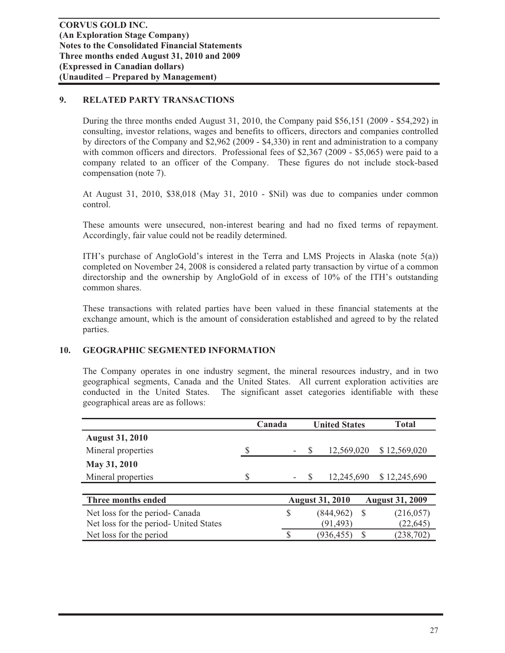# **9. RELATED PARTY TRANSACTIONS**

During the three months ended August 31, 2010, the Company paid \$56,151 (2009 - \$54,292) in consulting, investor relations, wages and benefits to officers, directors and companies controlled by directors of the Company and \$2,962 (2009 - \$4,330) in rent and administration to a company with common officers and directors. Professional fees of \$2,367 (2009 - \$5,065) were paid to a company related to an officer of the Company. These figures do not include stock-based compensation (note 7).

At August 31, 2010, \$38,018 (May 31, 2010 - \$Nil) was due to companies under common control.

These amounts were unsecured, non-interest bearing and had no fixed terms of repayment. Accordingly, fair value could not be readily determined.

ITH's purchase of AngloGold's interest in the Terra and LMS Projects in Alaska (note  $5(a)$ ) completed on November 24, 2008 is considered a related party transaction by virtue of a common directorship and the ownership by AngloGold of in excess of 10% of the ITH's outstanding common shares.

These transactions with related parties have been valued in these financial statements at the exchange amount, which is the amount of consideration established and agreed to by the related parties.

# **10. GEOGRAPHIC SEGMENTED INFORMATION**

The Company operates in one industry segment, the mineral resources industry, and in two geographical segments, Canada and the United States. All current exploration activities are conducted in the United States. The significant asset categories identifiable with these geographical areas are as follows:

|                                        | Canada |               | <b>United States</b> |                        | <b>Total</b> |                        |
|----------------------------------------|--------|---------------|----------------------|------------------------|--------------|------------------------|
| <b>August 31, 2010</b>                 |        |               |                      |                        |              |                        |
| Mineral properties                     | S      |               | S                    | 12,569,020             |              | \$12,569,020           |
| May 31, 2010                           |        |               |                      |                        |              |                        |
| Mineral properties                     | S      |               | <sup>S</sup>         | 12,245,690             |              | \$12,245,690           |
|                                        |        |               |                      |                        |              |                        |
| Three months ended                     |        |               |                      | <b>August 31, 2010</b> |              | <b>August 31, 2009</b> |
| Net loss for the period- Canada        |        | S             |                      | (844, 962)             | -S           | (216, 057)             |
| Net loss for the period- United States |        |               |                      | (91, 493)              |              | (22, 645)              |
| Net loss for the period                |        | <sup>\$</sup> |                      | (936, 455)             |              | (238, 702)             |